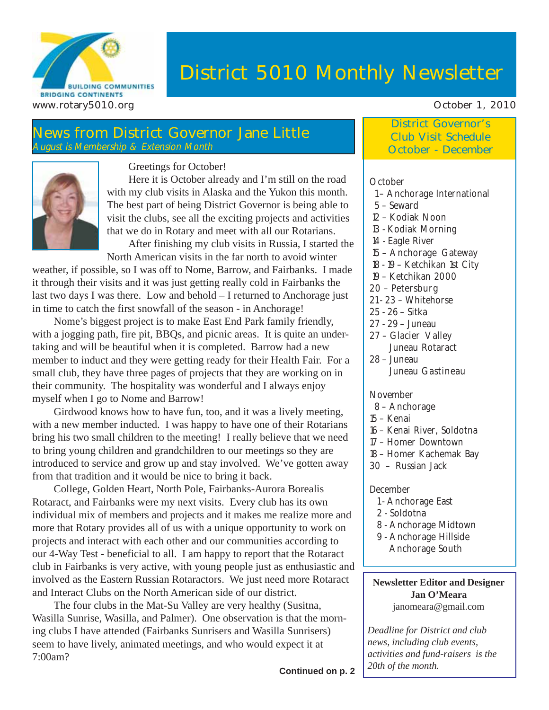

# **District 5010 Monthly Newsletter**

## **News from District Governor Jane Little** August is Membership & Extension Month



Greetings for October!

Here it is October already and I'm still on the road with my club visits in Alaska and the Yukon this month. The best part of being District Governor is being able to visit the clubs, see all the exciting projects and activities that we do in Rotary and meet with all our Rotarians.

After finishing my club visits in Russia, I started the North American visits in the far north to avoid winter

weather, if possible, so I was off to Nome, Barrow, and Fairbanks. I made it through their visits and it was just getting really cold in Fairbanks the last two days I was there. Low and behold – I returned to Anchorage just in time to catch the first snowfall of the season - in Anchorage!

Nome's biggest project is to make East End Park family friendly, with a jogging path, fire pit, BBQs, and picnic areas. It is quite an undertaking and will be beautiful when it is completed. Barrow had a new member to induct and they were getting ready for their Health Fair. For a small club, they have three pages of projects that they are working on in their community. The hospitality was wonderful and I always enjoy myself when I go to Nome and Barrow!

Girdwood knows how to have fun, too, and it was a lively meeting, with a new member inducted. I was happy to have one of their Rotarians bring his two small children to the meeting! I really believe that we need to bring young children and grandchildren to our meetings so they are introduced to service and grow up and stay involved. We've gotten away from that tradition and it would be nice to bring it back.

College, Golden Heart, North Pole, Fairbanks-Aurora Borealis Rotaract, and Fairbanks were my next visits. Every club has its own individual mix of members and projects and it makes me realize more and more that Rotary provides all of us with a unique opportunity to work on projects and interact with each other and our communities according to our 4-Way Test - beneficial to all. I am happy to report that the Rotaract club in Fairbanks is very active, with young people just as enthusiastic and involved as the Eastern Russian Rotaractors. We just need more Rotaract and Interact Clubs on the North American side of our district.

The four clubs in the Mat-Su Valley are very healthy (Susitna, Wasilla Sunrise, Wasilla, and Palmer). One observation is that the morning clubs I have attended (Fairbanks Sunrisers and Wasilla Sunrisers) seem to have lively, animated meetings, and who would expect it at 7:00am?

## **District Governor's Club Visit Schedule October - December**

#### **October**

- 1 Anchorage International
- 5 Seward
- 12 Kodiak Noon
- 13 Kodiak Morning
- 14 Eagle River
- 15 Anchorage Gateway
- 18 19 Ketchikan 1st City
- 19 Ketchikan 2000
- 20 Petersburg
- 21 23 Whitehorse
- 25 26 Sitka
- 27 29 Juneau
- 27 Glacier Valley Juneau Rotaract
- 28 Juneau Juneau Gastineau

#### November

- 8 Anchorage
- 15 Kenai
- 16 Kenai River, Soldotna
- 17 Homer Downtown
- 18 Homer Kachemak Bay
- 30 Russian Jack

#### December

- 1 Anchorage East
- 2 Soldotna
- 8 Anchorage Midtown
- 9 Anchorage Hillside Anchorage South

#### **Newsletter Editor and Designer Jan O'Meara** janomeara@gmail.com

*Deadline for District and club news, including club events, activities and fund-raisers is the 20th of the month.*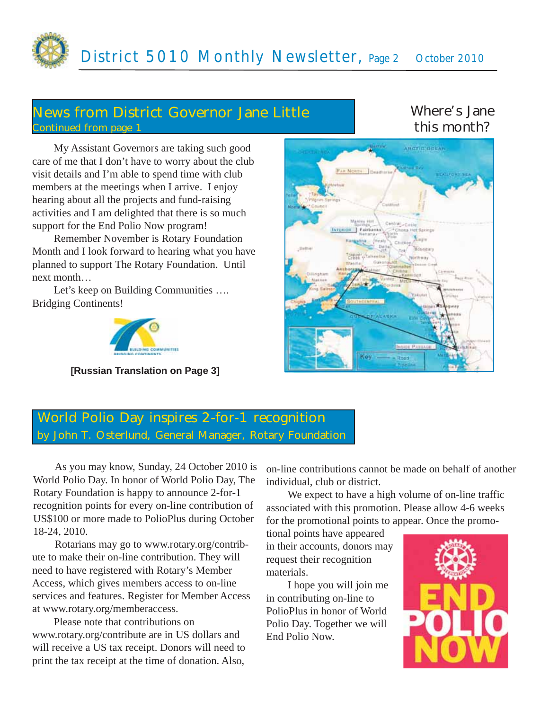## **News from District Governor Jane Little Continued from page 1**

## **Where's Jane this month?**

My Assistant Governors are taking such good care of me that I don't have to worry about the club visit details and I'm able to spend time with club members at the meetings when I arrive. I enjoy hearing about all the projects and fund-raising activities and I am delighted that there is so much support for the End Polio Now program!

Remember November is Rotary Foundation Month and I look forward to hearing what you have planned to support The Rotary Foundation. Until next month…

Let's keep on Building Communities …. Bridging Continents!



**[Russian Translation on Page 3]**



## **World Polio Day inspires 2-for-1 recognition by John T. Osterlund, General Manager, Rotary Foundation**

As you may know, Sunday, 24 October 2010 is World Polio Day. In honor of World Polio Day, The Rotary Foundation is happy to announce 2-for-1 recognition points for every on-line contribution of US\$100 or more made to PolioPlus during October 18-24, 2010.

Rotarians may go to www.rotary.org/contribute to make their on-line contribution. They will need to have registered with Rotary's Member Access, which gives members access to on-line services and features. Register for Member Access at www.rotary.org/memberaccess.

Please note that contributions on www.rotary.org/contribute are in US dollars and will receive a US tax receipt. Donors will need to print the tax receipt at the time of donation. Also,

on-line contributions cannot be made on behalf of another individual, club or district.

We expect to have a high volume of on-line traffic associated with this promotion. Please allow 4-6 weeks for the promotional points to appear. Once the promo-

tional points have appeared in their accounts, donors may request their recognition materials.

I hope you will join me in contributing on-line to PolioPlus in honor of World Polio Day. Together we will End Polio Now.

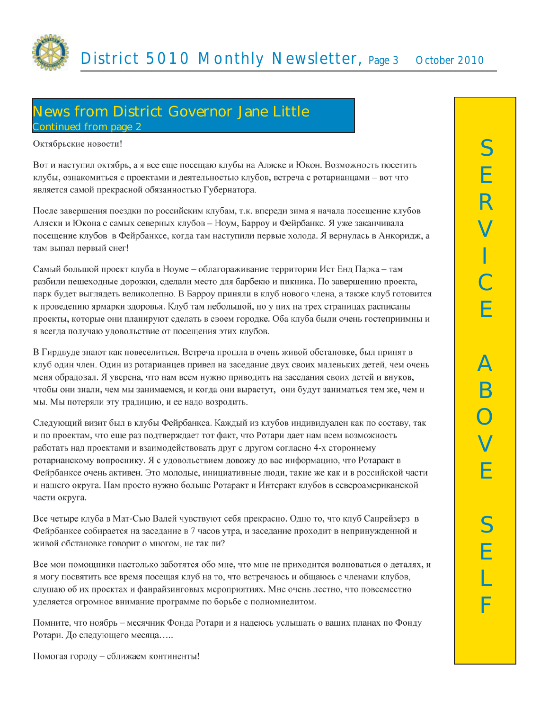

## **News from District Governor Jane Little Continued from page 2**

#### Октябрьские новости!

Вот и наступил октябрь, а я все еще посещаю клубы на Аляске и Юкон. Возможность посетить клубы, ознакомиться с проектами и деятельностью клубов, встреча с ротарианцами - вот что является самой прекрасной обязанностью Губернатора.

После завершения поездки по российским клубам, т.к. впереди зима я начала посещение клубов Аляски и Юкона с самых северных клубов – Ноум, Барроу и Фейрбанкс. Я уже заканчивала посещение клубов в Фейрбанксе, когда там наступили первые холода. Я вернулась в Анкоридж, а там выпал первый снег!

Самый большой проект клуба в Ноуме – облагораживание территории Ист Енд Парка – там разбили пешеходные дорожки, сделали место для барбекю и пикника. По завершению проекта, парк будет выглядеть великолепно. В Барроу приняли в клуб нового члена, а также клуб готовится к проведению ярмарки здоровья. Клуб там небольшой, но у них на трех страницах расписаны проекты, которые они планируют сделать в своем городке. Оба клуба были очень гостеприимны и я всегда получаю удовольствие от посещения этих клубов.

В Гирдвуде знают как повеселиться. Встреча прошла в очень живой обстановке, был принят в клуб один член. Один из ротарианцев привел на заседание двух своих маленьких детей, чем очень меня обрадовал. Я уверена, что нам всем нужно приводить на заседания своих детей и внуков, чтобы они знали, чем мы занимаемся, и когда они вырастут, они будут заниматься тем же, чем и мы. Мы потеряли эту традицию, и ее надо возродить.

Следующий визит был в клубы Фейрбанкса. Каждый из клубов индивидуален как по составу, так и по проектам, что еще раз подтверждает тот факт, что Ротари дает нам всем возможность работать над проектами и взаимодействовать друг с другом согласно 4-х стороннему ротарианскому вопроснику. Я с удовольствием довожу до вас информацию, что Ротаракт в Фейрбанксе очень активен. Это молодые, инициативные люди, такие же как и в российской части и нашего округа. Нам просто нужно больше Ротаракт и Интеракт клубов в североамериканской части округа.

Все четыре клуба в Мат-Сью Валей чувствуют себя прекрасно. Одно то, что клуб Санрейзерз в Фейрбанксе собирается на заседание в 7 часов утра, и заседание проходит в непринужденной и живой обстановке говорит о многом, не так ли?

Все мои помощники настолько заботятся обо мне, что мне не приходится волноваться о деталях, и я могу посвятить все время посещая клуб на то, что встречаюсь и общаюсь с членами клубов, слушаю об их проектах и фанрайзинговых мероприятиях. Мне очень лестно, что повсеместно уделяется огромное внимание программе по борьбе с полиомиелитом.

Помните, что ноябрь - месячник Фонда Ротари и я надеюсь услышать о ваших планах по Фонду Ротари. До следующего месяца.....

Помогая городу - сближаем континенты!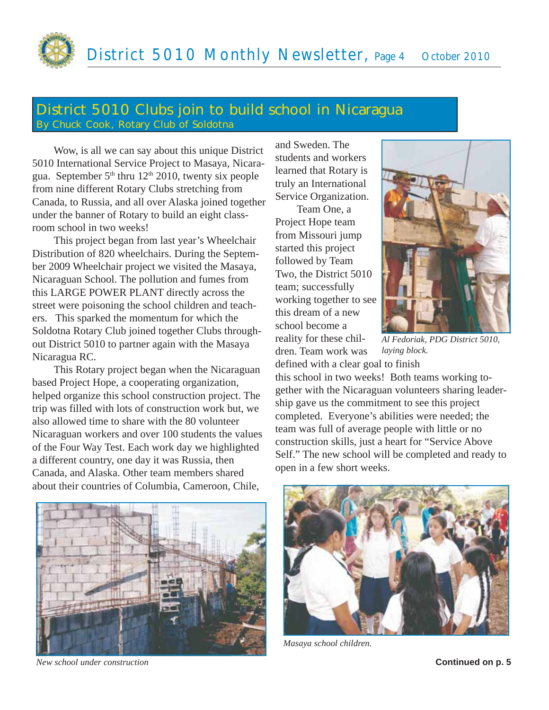# **District 5010 Clubs join to build school in Nicaragua By Chuck Cook, Rotary Club of Soldotna**

Wow, is all we can say about this unique District 5010 International Service Project to Masaya, Nicaragua. September  $5<sup>th</sup>$  thru  $12<sup>th</sup>$  2010, twenty six people from nine different Rotary Clubs stretching from Canada, to Russia, and all over Alaska joined together under the banner of Rotary to build an eight classroom school in two weeks!

This project began from last year's Wheelchair Distribution of 820 wheelchairs. During the September 2009 Wheelchair project we visited the Masaya, Nicaraguan School. The pollution and fumes from this LARGE POWER PLANT directly across the street were poisoning the school children and teachers. This sparked the momentum for which the Soldotna Rotary Club joined together Clubs throughout District 5010 to partner again with the Masaya Nicaragua RC.

This Rotary project began when the Nicaraguan based Project Hope, a cooperating organization, helped organize this school construction project. The trip was filled with lots of construction work but, we also allowed time to share with the 80 volunteer Nicaraguan workers and over 100 students the values of the Four Way Test. Each work day we highlighted a different country, one day it was Russia, then Canada, and Alaska. Other team members shared about their countries of Columbia, Cameroon, Chile,

and Sweden. The students and workers learned that Rotary is truly an International Service Organization.

Team One, a Project Hope team from Missouri jump started this project followed by Team Two, the District 5010 team; successfully working together to see this dream of a new school become a reality for these children. Team work was



*Al Fedoriak, PDG District 5010, laying block.*

defined with a clear goal to finish this school in two weeks! Both teams working together with the Nicaraguan volunteers sharing leadership gave us the commitment to see this project completed. Everyone's abilities were needed; the team was full of average people with little or no construction skills, just a heart for "Service Above Self." The new school will be completed and ready to open in a few short weeks.



*New school under construction* **Continued on p. 5**



*Masaya school children.*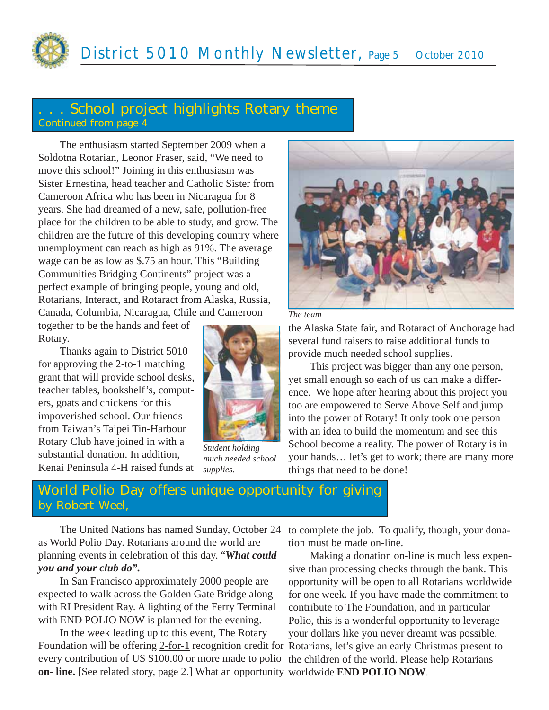

## **. . . School project highlights Rotary theme Continued from page 4**

The enthusiasm started September 2009 when a Soldotna Rotarian, Leonor Fraser, said, "We need to move this school!" Joining in this enthusiasm was Sister Ernestina, head teacher and Catholic Sister from Cameroon Africa who has been in Nicaragua for 8 years. She had dreamed of a new, safe, pollution-free place for the children to be able to study, and grow. The children are the future of this developing country where unemployment can reach as high as 91%. The average wage can be as low as \$.75 an hour. This "Building Communities Bridging Continents" project was a perfect example of bringing people, young and old, Rotarians, Interact, and Rotaract from Alaska, Russia, Canada, Columbia, Nicaragua, Chile and Cameroon

together to be the hands and feet of Rotary.

Thanks again to District 5010 for approving the 2-to-1 matching grant that will provide school desks, teacher tables, bookshelf's, computers, goats and chickens for this impoverished school. Our friends from Taiwan's Taipei Tin-Harbour Rotary Club have joined in with a substantial donation. In addition, Kenai Peninsula 4-H raised funds at



*Student holding much needed school supplies.*





the Alaska State fair, and Rotaract of Anchorage had several fund raisers to raise additional funds to provide much needed school supplies.

This project was bigger than any one person, yet small enough so each of us can make a difference. We hope after hearing about this project you too are empowered to Serve Above Self and jump into the power of Rotary! It only took one person with an idea to build the momentum and see this School become a reality. The power of Rotary is in your hands… let's get to work; there are many more things that need to be done!

## **World Polio Day offers unique opportunity for giving by Robert Weel,**

The United Nations has named Sunday, October 24 as World Polio Day. Rotarians around the world are planning events in celebration of this day. "*What could you and your club do".*

In San Francisco approximately 2000 people are expected to walk across the Golden Gate Bridge along with RI President Ray. A lighting of the Ferry Terminal with END POLIO NOW is planned for the evening.

In the week leading up to this event, The Rotary Foundation will be offering 2-for-1 recognition credit for Rotarians, let's give an early Christmas present to every contribution of US \$100.00 or more made to polio the children of the world. Please help Rotarians **on- line.** [See related story, page 2.] What an opportunity worldwide **END POLIO NOW**.

to complete the job. To qualify, though, your donation must be made on-line.

Making a donation on-line is much less expensive than processing checks through the bank. This opportunity will be open to all Rotarians worldwide for one week. If you have made the commitment to contribute to The Foundation, and in particular Polio, this is a wonderful opportunity to leverage your dollars like you never dreamt was possible.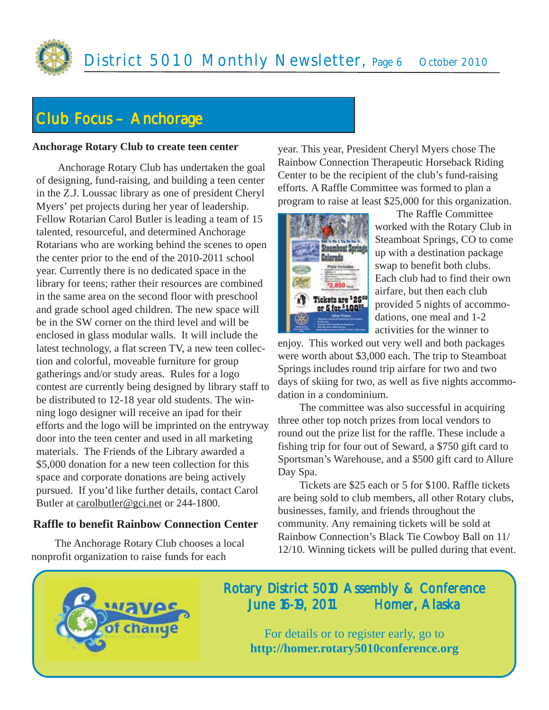

# **Club Focus – Anchorage**

### **Anchorage Rotary Club to create teen center**

Anchorage Rotary Club has undertaken the goal of designing, fund-raising, and building a teen center in the Z.J. Loussac library as one of president Cheryl Myers' pet projects during her year of leadership. Fellow Rotarian Carol Butler is leading a team of 15 talented, resourceful, and determined Anchorage Rotarians who are working behind the scenes to open the center prior to the end of the 2010-2011 school year. Currently there is no dedicated space in the library for teens; rather their resources are combined in the same area on the second floor with preschool and grade school aged children. The new space will be in the SW corner on the third level and will be enclosed in glass modular walls. It will include the latest technology, a flat screen TV, a new teen collection and colorful, moveable furniture for group gatherings and/or study areas. Rules for a logo contest are currently being designed by library staff to be distributed to 12-18 year old students. The winning logo designer will receive an ipad for their efforts and the logo will be imprinted on the entryway door into the teen center and used in all marketing materials. The Friends of the Library awarded a \$5,000 donation for a new teen collection for this space and corporate donations are being actively pursued. If you'd like further details, contact Carol Butler at carolbutler@gci.net or 244-1800.

## **Raffle to benefit Rainbow Connection Center**

The Anchorage Rotary Club chooses a local nonprofit organization to raise funds for each

year. This year, President Cheryl Myers chose The Rainbow Connection Therapeutic Horseback Riding Center to be the recipient of the club's fund-raising efforts. A Raffle Committee was formed to plan a program to raise at least \$25,000 for this organization.



The Raffle Committee worked with the Rotary Club in Steamboat Springs, CO to come up with a destination package swap to benefit both clubs. Each club had to find their own airfare, but then each club provided 5 nights of accommodations, one meal and 1-2 activities for the winner to

enjoy. This worked out very well and both packages were worth about \$3,000 each. The trip to Steamboat Springs includes round trip airfare for two and two days of skiing for two, as well as five nights accommodation in a condominium.

The committee was also successful in acquiring three other top notch prizes from local vendors to round out the prize list for the raffle. These include a fishing trip for four out of Seward, a \$750 gift card to Sportsman's Warehouse, and a \$500 gift card to Allure Day Spa.

Tickets are \$25 each or 5 for \$100. Raffle tickets are being sold to club members, all other Rotary clubs, businesses, family, and friends throughout the community. Any remaining tickets will be sold at Rainbow Connection's Black Tie Cowboy Ball on 11/ 12/10. Winning tickets will be pulled during that event.



## Rotary District 5010 Assembly & Conference June 16-19, 2011 Homer, Alaska

For details or to register early, go to **http://homer.rotary5010conference.org**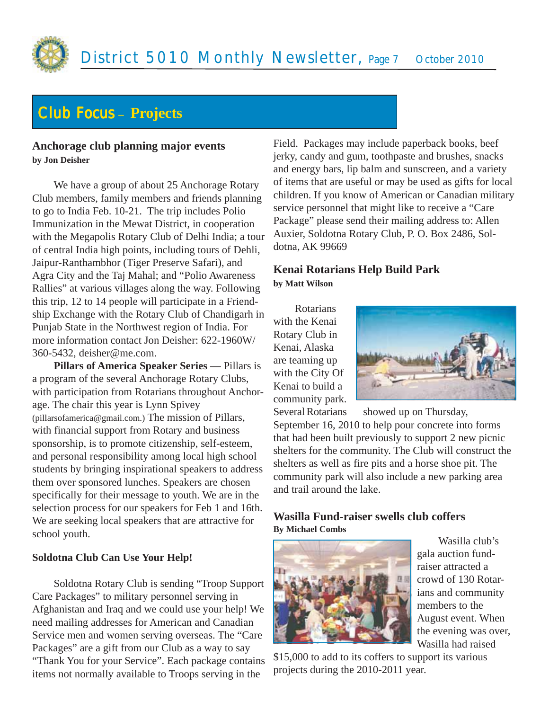

# Club Focus **– Projects**

#### **Anchorage club planning major events by Jon Deisher**

We have a group of about 25 Anchorage Rotary Club members, family members and friends planning to go to India Feb. 10-21. The trip includes Polio Immunization in the Mewat District, in cooperation with the Megapolis Rotary Club of Delhi India; a tour of central India high points, including tours of Dehli, Jaipur-Ranthambhor (Tiger Preserve Safari), and Agra City and the Taj Mahal; and "Polio Awareness Rallies" at various villages along the way. Following this trip, 12 to 14 people will participate in a Friendship Exchange with the Rotary Club of Chandigarh in Punjab State in the Northwest region of India. For more information contact Jon Deisher: 622-1960W/ 360-5432, deisher@me.com.

**Pillars of America Speaker Series** — Pillars is a program of the several Anchorage Rotary Clubs, with participation from Rotarians throughout Anchorage. The chair this year is Lynn Spivey (pillarsofamerica@gmail.com.) The mission of Pillars, with financial support from Rotary and business sponsorship, is to promote citizenship, self-esteem, and personal responsibility among local high school students by bringing inspirational speakers to address them over sponsored lunches. Speakers are chosen specifically for their message to youth. We are in the selection process for our speakers for Feb 1 and 16th. We are seeking local speakers that are attractive for school youth.

#### **Soldotna Club Can Use Your Help!**

Soldotna Rotary Club is sending "Troop Support Care Packages" to military personnel serving in Afghanistan and Iraq and we could use your help! We need mailing addresses for American and Canadian Service men and women serving overseas. The "Care Packages" are a gift from our Club as a way to say "Thank You for your Service". Each package contains items not normally available to Troops serving in the

Field. Packages may include paperback books, beef jerky, candy and gum, toothpaste and brushes, snacks and energy bars, lip balm and sunscreen, and a variety of items that are useful or may be used as gifts for local children. If you know of American or Canadian military service personnel that might like to receive a "Care Package" please send their mailing address to: Allen Auxier, Soldotna Rotary Club, P. O. Box 2486, Soldotna, AK 99669

## **Kenai Rotarians Help Build Park by Matt Wilson**

Rotarians with the Kenai Rotary Club in Kenai, Alaska are teaming up with the City Of Kenai to build a community park.



Several Rotarians showed up on Thursday, September 16, 2010 to help pour concrete into forms that had been built previously to support 2 new picnic shelters for the community. The Club will construct the shelters as well as fire pits and a horse shoe pit. The community park will also include a new parking area and trail around the lake.

## **Wasilla Fund-raiser swells club coffers By Michael Combs**



Wasilla club's gala auction fundraiser attracted a crowd of 130 Rotarians and community members to the August event. When the evening was over, Wasilla had raised

\$15,000 to add to its coffers to support its various projects during the 2010-2011 year.